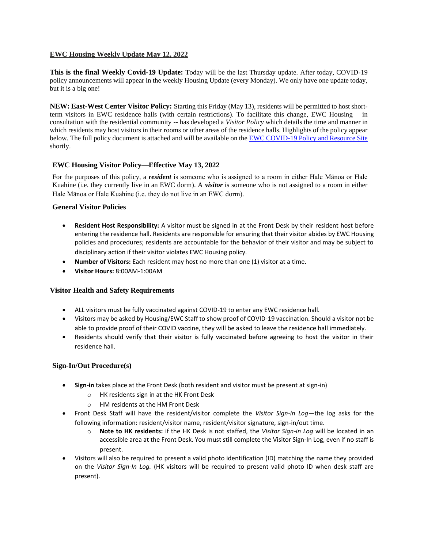#### **EWC Housing Weekly Update May 12, 2022**

**This is the final Weekly Covid-19 Update:** Today will be the last Thursday update. After today, COVID-19 policy announcements will appear in the weekly Housing Update (every Monday). We only have one update today, but it is a big one!

**NEW: East-West Center Visitor Policy:** Starting this Friday (May 13), residents will be permitted to host shortterm visitors in EWC residence halls (with certain restrictions). To facilitate this change, EWC Housing – in consultation with the residential community -- has developed a *Visitor Policy* which details the time and manner in which residents may host visitors in their rooms or other areas of the residence halls. Highlights of the policy appear below. The full policy document is attached and will be available on the [EWC COVID-19 Policy and Resource Site](https://urldefense.proofpoint.com/v2/url?u=https-3A__ewcparticipantinfo.org_covid-2D19_&d=DwMFaQ&c=euGZstcaTDllvimEN8b7jXrwqOf-v5A_CdpgnVfiiMM&r=sjCoHaVUe8_a1MXsziR411ri4sB3BX3q50L3el6sXMQ&m=0ECLIo29odhOVPZBlWNgJGa6N-1F4tglPynfaAlPylY&s=E5TzpsWN7LtgVXSih0onTXPYenORga3MwXXExk1S7rY&e=) shortly.

#### **EWC Housing Visitor Policy—Effective May 13, 2022**

For the purposes of this policy, a *resident* is someone who is assigned to a room in either Hale Mānoa or Hale Kuahine (i.e. they currently live in an EWC dorm). A *visitor* is someone who is not assigned to a room in either Hale Mānoa or Hale Kuahine (i.e. they do not live in an EWC dorm).

#### **General Visitor Policies**

- **Resident Host Responsibility:** A visitor must be signed in at the Front Desk by their resident host before entering the residence hall. Residents are responsible for ensuring that their visitor abides by EWC Housing policies and procedures; residents are accountable for the behavior of their visitor and may be subject to disciplinary action if their visitor violates EWC Housing policy.
- **Number of Visitors:** Each resident may host no more than one (1) visitor at a time.
- **Visitor Hours:** 8:00AM-1:00AM

# **Visitor Health and Safety Requirements**

- ALL visitors must be fully vaccinated against COVID-19 to enter any EWC residence hall.
- Visitors may be asked by Housing/EWC Staff to show proof of COVID-19 vaccination. Should a visitor not be able to provide proof of their COVID vaccine, they will be asked to leave the residence hall immediately.
- Residents should verify that their visitor is fully vaccinated before agreeing to host the visitor in their residence hall.

# **Sign-In/Out Procedure(s)**

- **Sign-in** takes place at the Front Desk (both resident and visitor must be present at sign-in)
	- o HK residents sign in at the HK Front Desk
	- o HM residents at the HM Front Desk
- Front Desk Staff will have the resident/visitor complete the *Visitor Sign-in Log*—the log asks for the following information: resident/visitor name, resident/visitor signature, sign-in/out time.
	- o **Note to HK residents:** if the HK Desk is not staffed, the *Visitor Sign-in Log* will be located in an accessible area at the Front Desk. You must still complete the Visitor Sign-In Log, even if no staff is present.
- Visitors will also be required to present a valid photo identification (ID) matching the name they provided on the *Visitor Sign-In Log.* (HK visitors will be required to present valid photo ID when desk staff are present).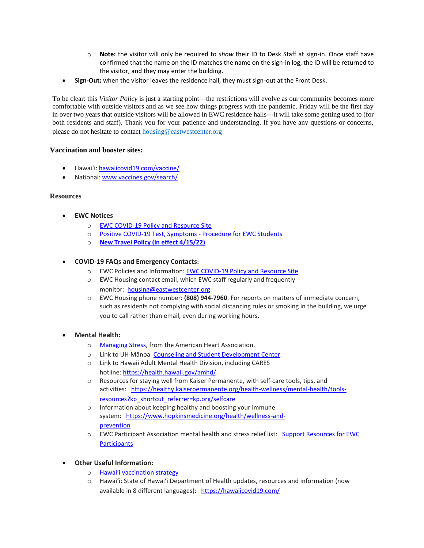- o **Note:** the visitor will only be required to *show* their ID to Desk Staff at sign-in. Once staff have confirmed that the name on the ID matches the name on the sign-in log, the ID will be returned to the visitor, and they may enter the building.
- **Sign-Out:** when the visitor leaves the residence hall, they must sign-out at the Front Desk.

To be clear: this *Visitor Policy* is just a starting point—the restrictions will evolve as our community becomes more comfortable with outside visitors and as we see how things progress with the pandemic. Friday will be the first day in over two years that outside visitors will be allowed in EWC residence halls---it will take some getting used to (for both residents and staff). Thank you for your patience and understanding. If you have any questions or concerns, please do not hesitate to contac[t housing@eastwestcenter.org](mailto:housing@eastwestcenter.org)

#### **Vaccination and booster sites:**

- Hawaiʻi: [hawaiicovid19.com/vaccine/](https://hawaiicovid19.com/vaccine/)
- National[: www.vaccines.gov/search/](https://urldefense.proofpoint.com/v2/url?u=https-3A__www.vaccines.gov_search_&d=DwMFaQ&c=euGZstcaTDllvimEN8b7jXrwqOf-v5A_CdpgnVfiiMM&r=sjCoHaVUe8_a1MXsziR411ri4sB3BX3q50L3el6sXMQ&m=0ECLIo29odhOVPZBlWNgJGa6N-1F4tglPynfaAlPylY&s=gkB2_ikspI1jGUf0VLQoVy5cc24XTCudde4CAyoygYY&e=)

#### **Resources**

- **EWC Notices**
	- o [EWC COVID-19 Policy and Resource Site](https://urldefense.proofpoint.com/v2/url?u=https-3A__ewcparticipantinfo.org_covid-2D19_&d=DwMFaQ&c=euGZstcaTDllvimEN8b7jXrwqOf-v5A_CdpgnVfiiMM&r=3FPQcXK5sxYRrGCCxQc5PNSb-_SuaL_bSgfyHLgu3XI&m=NeEuRGBZcB6XdPpyhoUn4swvNjBnveDWGZ1brp8cIwI&s=psWXjZhChjGDJkHaOVt2bwTJxxk1NVhXgu70sXTpbpE&e=)
	- o Positive COVID-19 [Test, Symptoms](https://urldefense.proofpoint.com/v2/url?u=https-3A__ewcparticipantinfo.org_wp-2Dcontent_uploads_2021_11_Positive-2DTest-2DSymptoms-2DProcedure-2Dfor-2DStudents.pdf&d=DwMFaQ&c=euGZstcaTDllvimEN8b7jXrwqOf-v5A_CdpgnVfiiMM&r=sjCoHaVUe8_a1MXsziR411ri4sB3BX3q50L3el6sXMQ&m=0ECLIo29odhOVPZBlWNgJGa6N-1F4tglPynfaAlPylY&s=rQyXRfbBpoaD3f9PosoDvkQUUjxT2TejSp7j6xWsVlw&e=) Procedure for EWC Students
	- o **[New Travel Policy \(in effect 4/15/22\)](https://urldefense.proofpoint.com/v2/url?u=https-3A__ewcparticipantinfo.org_wp-2Dcontent_uploads_2022_04_EWC-2DTravel-2DPolicy-2D4-2D15-2D22.pdf&d=DwMFaQ&c=euGZstcaTDllvimEN8b7jXrwqOf-v5A_CdpgnVfiiMM&r=sjCoHaVUe8_a1MXsziR411ri4sB3BX3q50L3el6sXMQ&m=0ECLIo29odhOVPZBlWNgJGa6N-1F4tglPynfaAlPylY&s=x4EvSsm0MK8SiFuX0g8mKP709ah6rbwYJMWrIuHVgP4&e=)**

#### • **COVID-19 FAQs and Emergency Contacts:**

- o EWC Policies and Information: [EWC COVID-19 Policy and Resource Site](https://urldefense.proofpoint.com/v2/url?u=https-3A__ewcparticipantinfo.org_covid-2D19_&d=DwMFaQ&c=euGZstcaTDllvimEN8b7jXrwqOf-v5A_CdpgnVfiiMM&r=3FPQcXK5sxYRrGCCxQc5PNSb-_SuaL_bSgfyHLgu3XI&m=NeEuRGBZcB6XdPpyhoUn4swvNjBnveDWGZ1brp8cIwI&s=psWXjZhChjGDJkHaOVt2bwTJxxk1NVhXgu70sXTpbpE&e=)
- o EWC Housing contact email, which EWC staff regularly and frequently monitor: [housing@eastwestcenter.org.](mailto:housing@eastwestcenter.org)
- o EWC Housing phone number: **(808) 944-7960**. For reports on matters of immediate concern, such as residents not complying with social distancing rules or smoking in the building, we urge you to call rather than email, even during working hours.

#### • **Mental Health:**

- o [Managing Stress,](https://urldefense.proofpoint.com/v2/url?u=https-3A__www.heart.org_en_healthy-2Dliving_healthy-2Dlifestyle_stress-2Dmanagement_3-2Dtips-2Dto-2Dmanage-2Dstress&d=DwMFaQ&c=euGZstcaTDllvimEN8b7jXrwqOf-v5A_CdpgnVfiiMM&r=3FPQcXK5sxYRrGCCxQc5PNSb-_SuaL_bSgfyHLgu3XI&m=DFa_g2AmhabelwvrqHcTxuYqCMz5HzQYOl-ITmKQUfY&s=brkk3h1YsapP-lIVcxt7MNYAlm4bQtz7YKIJGofeUkY&e=) from the American Heart Association.
- o Link to UH Mānoa [Counseling and Student Development Center.](https://urldefense.proofpoint.com/v2/url?u=http-3A__www.manoa.hawaii.edu_counseling&d=DwMFaQ&c=euGZstcaTDllvimEN8b7jXrwqOf-v5A_CdpgnVfiiMM&r=3FPQcXK5sxYRrGCCxQc5PNSb-_SuaL_bSgfyHLgu3XI&m=am0JUX--VmENU0jPP_iW6ma-yLR9-vpVCXYuYLP_pnQ&s=KLUr2I-87m8x7gT-LRZ1FsUmDxTlS04cGYG1bEY4eOo&e=)
- o Link to Hawaii Adult Mental Health Division, including CARES hotline: [https://health.hawaii.gov/amhd/.](https://urldefense.proofpoint.com/v2/url?u=https-3A__health.hawaii.gov_amhd_&d=DwMFaQ&c=euGZstcaTDllvimEN8b7jXrwqOf-v5A_CdpgnVfiiMM&r=3FPQcXK5sxYRrGCCxQc5PNSb-_SuaL_bSgfyHLgu3XI&m=am0JUX--VmENU0jPP_iW6ma-yLR9-vpVCXYuYLP_pnQ&s=jGly2XqRyYGfSfcDeFQPHXOriK3LXX4ijFkZpV1I3l0&e=)
- o Resources for staying well from Kaiser Permanente, with self-care tools, tips, and activities: [https://healthy.kaiserpermanente.org/health-wellness/mental-health/tools](https://urldefense.proofpoint.com/v2/url?u=https-3A__healthy.kaiserpermanente.org_health-2Dwellness_mental-2Dhealth_tools-2Dresources-3Fkp-5Fshortcut-5Freferrer-3Dkp.org_selfcare&d=DwMFaQ&c=euGZstcaTDllvimEN8b7jXrwqOf-v5A_CdpgnVfiiMM&r=3FPQcXK5sxYRrGCCxQc5PNSb-_SuaL_bSgfyHLgu3XI&m=Rbwxxn-uK8FQYTkEAvPhMEKvL03Z3qaRx6Mfv78EfmQ&s=WgR2DHjakUKCqJM0vJM8s8S_NAf2yZItFCWP7XTUlcc&e=)[resources?kp\\_shortcut\\_referrer=kp.org/selfcare](https://urldefense.proofpoint.com/v2/url?u=https-3A__healthy.kaiserpermanente.org_health-2Dwellness_mental-2Dhealth_tools-2Dresources-3Fkp-5Fshortcut-5Freferrer-3Dkp.org_selfcare&d=DwMFaQ&c=euGZstcaTDllvimEN8b7jXrwqOf-v5A_CdpgnVfiiMM&r=3FPQcXK5sxYRrGCCxQc5PNSb-_SuaL_bSgfyHLgu3XI&m=Rbwxxn-uK8FQYTkEAvPhMEKvL03Z3qaRx6Mfv78EfmQ&s=WgR2DHjakUKCqJM0vJM8s8S_NAf2yZItFCWP7XTUlcc&e=)
- o Information about keeping healthy and boosting your immune system: [https://www.hopkinsmedicine.org/health/wellness-and](https://urldefense.proofpoint.com/v2/url?u=https-3A__www.hopkinsmedicine.org_health_wellness-2Dand-2Dprevention&d=DwMFaQ&c=euGZstcaTDllvimEN8b7jXrwqOf-v5A_CdpgnVfiiMM&r=fzUXRvrK_egS-3t73UD_VQPWmsmmjR5g7liOveFRwTw&m=xQ1KMiKCgTEeIFLcoiItEyinYylVRMHzLz16Rh2E7OE&s=MLYw596o8ko-W_NETjId73A6wPdC94HCfkzyO-_cxq0&e=)[prevention](https://urldefense.proofpoint.com/v2/url?u=https-3A__www.hopkinsmedicine.org_health_wellness-2Dand-2Dprevention&d=DwMFaQ&c=euGZstcaTDllvimEN8b7jXrwqOf-v5A_CdpgnVfiiMM&r=fzUXRvrK_egS-3t73UD_VQPWmsmmjR5g7liOveFRwTw&m=xQ1KMiKCgTEeIFLcoiItEyinYylVRMHzLz16Rh2E7OE&s=MLYw596o8ko-W_NETjId73A6wPdC94HCfkzyO-_cxq0&e=)
- o EWC Participant Association mental health and stress relief list: Support Resources for EWC **[Participants](https://urldefense.proofpoint.com/v2/url?u=https-3A__content.getrave.com_content_5958154_b0e6c8eb-2D04ae-2D4fda-2D8b24-2Dc52d32318225_8d91da0e-2Db462-2D4c5b-2D815f-2D570227036179_Support-5FResources-5Ffor-5FEWC-5FStudents.pdf&d=DwMFaQ&c=euGZstcaTDllvimEN8b7jXrwqOf-v5A_CdpgnVfiiMM&r=fzUXRvrK_egS-3t73UD_VQPWmsmmjR5g7liOveFRwTw&m=xQ1KMiKCgTEeIFLcoiItEyinYylVRMHzLz16Rh2E7OE&s=OP6EvOWHfV2zxF3nz8Y8WTudS4Rae1oYrLMe7eHjJW8&e=)**

# • **Other Useful Information:**

- o [Hawai'i vaccination strategy](https://hawaiicovid19.com/vaccine/)
- o Hawai'i: State of Hawai'i Department of Health updates, resources and information (now available in 8 different languages): <https://hawaiicovid19.com/>